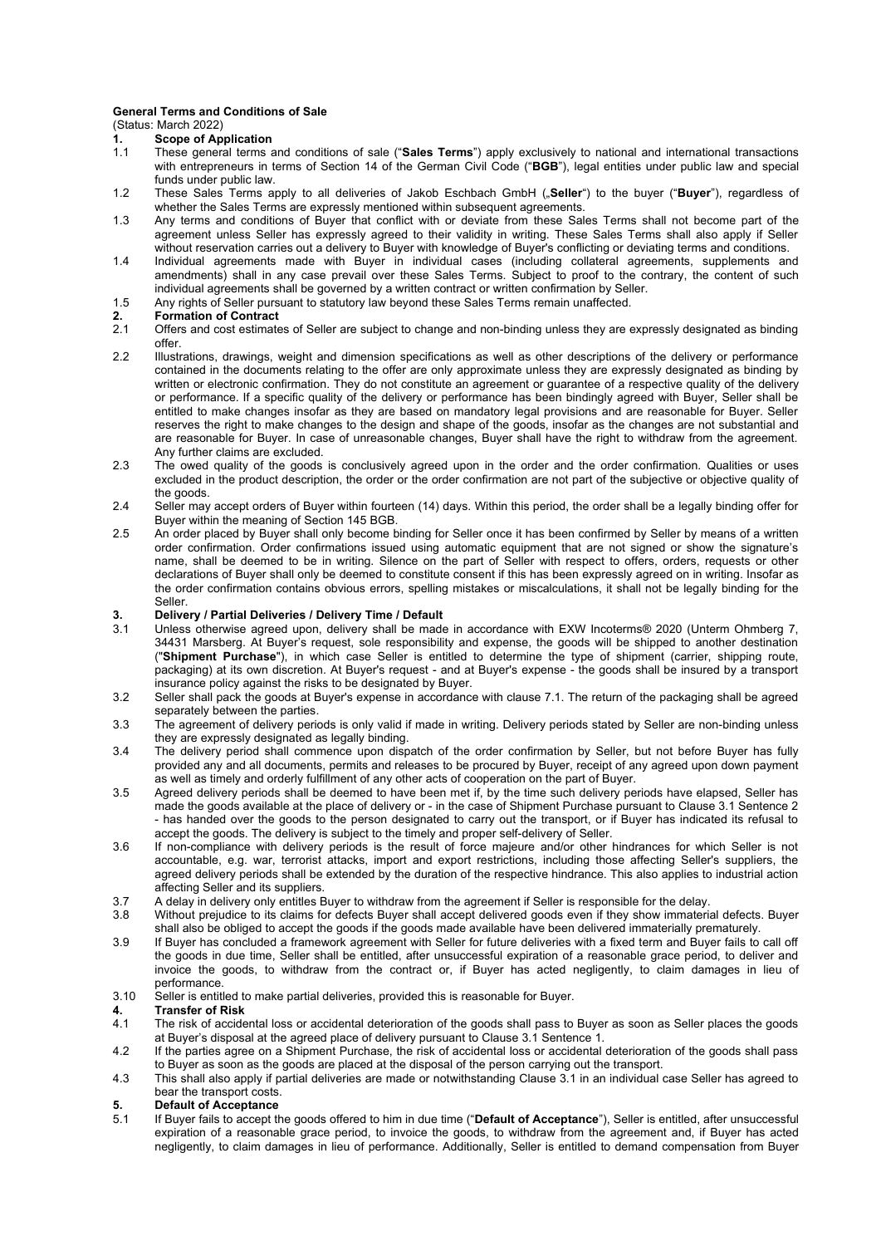#### **General Terms and Conditions of Sale**

### (Status: March 2022)

- **1. Scope of Application**<br>**11** These general terms a 1.1 These general terms and conditions of sale ("**Sales Terms**") apply exclusively to national and international transactions with entrepreneurs in terms of Section 14 of the German Civil Code ("**BGB**"), legal entities under public law and special funds under public law.
- 1.2 These Sales Terms apply to all deliveries of Jakob Eschbach GmbH ("**Seller**") to the buyer ("**Buyer**"), regardless of whether the Sales Terms are expressly mentioned within subsequent agreements.
- 1.3 Any terms and conditions of Buyer that conflict with or deviate from these Sales Terms shall not become part of the agreement unless Seller has expressly agreed to their validity in writing. These Sales Terms shall also apply if Seller without reservation carries out a delivery to Buyer with knowledge of Buyer's conflicting or deviating terms and conditions.
- 1.4 Individual agreements made with Buyer in individual cases (including collateral agreements, supplements and amendments) shall in any case prevail over these Sales Terms. Subject to proof to the contrary, the content of such individual agreements shall be governed by a written contract or written confirmation by Seller.
- 1.5 Any rights of Seller pursuant to statutory law beyond these Sales Terms remain unaffected.
- **2. Formation of Contract**<br>**2.1** Offers and cost estimate
- 2.1 Offers and cost estimates of Seller are subject to change and non-binding unless they are expressly designated as binding offer.
- 2.2 Illustrations, drawings, weight and dimension specifications as well as other descriptions of the delivery or performance contained in the documents relating to the offer are only approximate unless they are expressly designated as binding by written or electronic confirmation. They do not constitute an agreement or guarantee of a respective quality of the delivery or performance. If a specific quality of the delivery or performance has been bindingly agreed with Buyer, Seller shall be entitled to make changes insofar as they are based on mandatory legal provisions and are reasonable for Buyer. Seller reserves the right to make changes to the design and shape of the goods, insofar as the changes are not substantial and are reasonable for Buyer. In case of unreasonable changes, Buyer shall have the right to withdraw from the agreement. Any further claims are excluded.
- 2.3 The owed quality of the goods is conclusively agreed upon in the order and the order confirmation. Qualities or uses excluded in the product description, the order or the order confirmation are not part of the subjective or objective quality of the goods.
- 2.4 Seller may accept orders of Buyer within fourteen (14) days. Within this period, the order shall be a legally binding offer for Buyer within the meaning of Section 145 BGB.
- 2.5 An order placed by Buyer shall only become binding for Seller once it has been confirmed by Seller by means of a written order confirmation. Order confirmations issued using automatic equipment that are not signed or show the signature's name, shall be deemed to be in writing. Silence on the part of Seller with respect to offers, orders, requests or other declarations of Buyer shall only be deemed to constitute consent if this has been expressly agreed on in writing. Insofar as the order confirmation contains obvious errors, spelling mistakes or miscalculations, it shall not be legally binding for the Seller.

# **3. Delivery / Partial Deliveries / Delivery Time / Default**

- Unless otherwise agreed upon, delivery shall be made in accordance with EXW Incoterms® 2020 (Unterm Ohmberg 7, 34431 Marsberg. At Buyer's request, sole responsibility and expense, the goods will be shipped to another destination ("**Shipment Purchase**"), in which case Seller is entitled to determine the type of shipment (carrier, shipping route, packaging) at its own discretion. At Buyer's request - and at Buyer's expense - the goods shall be insured by a transport insurance policy against the risks to be designated by Buyer.
- 3.2 Seller shall pack the goods at Buyer's expense in accordance with clause 7.1. The return of the packaging shall be agreed separately between the parties.
- 3.3 The agreement of delivery periods is only valid if made in writing. Delivery periods stated by Seller are non-binding unless they are expressly designated as legally binding.
- 3.4 The delivery period shall commence upon dispatch of the order confirmation by Seller, but not before Buyer has fully provided any and all documents, permits and releases to be procured by Buyer, receipt of any agreed upon down payment as well as timely and orderly fulfillment of any other acts of cooperation on the part of Buyer.
- 3.5 Agreed delivery periods shall be deemed to have been met if, by the time such delivery periods have elapsed, Seller has made the goods available at the place of delivery or - in the case of Shipment Purchase pursuant to Clause 3.1 Sentence 2 - has handed over the goods to the person designated to carry out the transport, or if Buyer has indicated its refusal to accept the goods. The delivery is subject to the timely and proper self-delivery of Seller.
- 3.6 If non-compliance with delivery periods is the result of force majeure and/or other hindrances for which Seller is not accountable, e.g. war, terrorist attacks, import and export restrictions, including those affecting Seller's suppliers, the agreed delivery periods shall be extended by the duration of the respective hindrance. This also applies to industrial action affecting Seller and its suppliers.
- 3.7 A delay in delivery only entitles Buyer to withdraw from the agreement if Seller is responsible for the delay.<br>3.8 Without prejudice to its claims for defects Buyer shall accept delivered goods even if they show immate
- 3.8 Without prejudice to its claims for defects Buyer shall accept delivered goods even if they show immaterial defects. Buyer shall also be obliged to accept the goods if the goods made available have been delivered immaterially prematurely.
- 3.9 If Buyer has concluded a framework agreement with Seller for future deliveries with a fixed term and Buyer fails to call off the goods in due time, Seller shall be entitled, after unsuccessful expiration of a reasonable grace period, to deliver and invoice the goods, to withdraw from the contract or, if Buyer has acted negligently, to claim damages in lieu of performance.
- 3.10 Seller is entitled to make partial deliveries, provided this is reasonable for Buyer.

#### **4. Transfer of Risk**

- 4.1 The risk of accidental loss or accidental deterioration of the goods shall pass to Buyer as soon as Seller places the goods at Buyer's disposal at the agreed place of delivery pursuant to Clause 3.1 Sentence 1.
- 4.2 If the parties agree on a Shipment Purchase, the risk of accidental loss or accidental deterioration of the goods shall pass to Buyer as soon as the goods are placed at the disposal of the person carrying out the transport.
- 4.3 This shall also apply if partial deliveries are made or notwithstanding Clause 3.1 in an individual case Seller has agreed to bear the transport costs.

#### **5. Default of Acceptance**

5.1 If Buyer fails to accept the goods offered to him in due time ("**Default of Acceptance**"), Seller is entitled, after unsuccessful expiration of a reasonable grace period, to invoice the goods, to withdraw from the agreement and, if Buyer has acted negligently, to claim damages in lieu of performance. Additionally, Seller is entitled to demand compensation from Buyer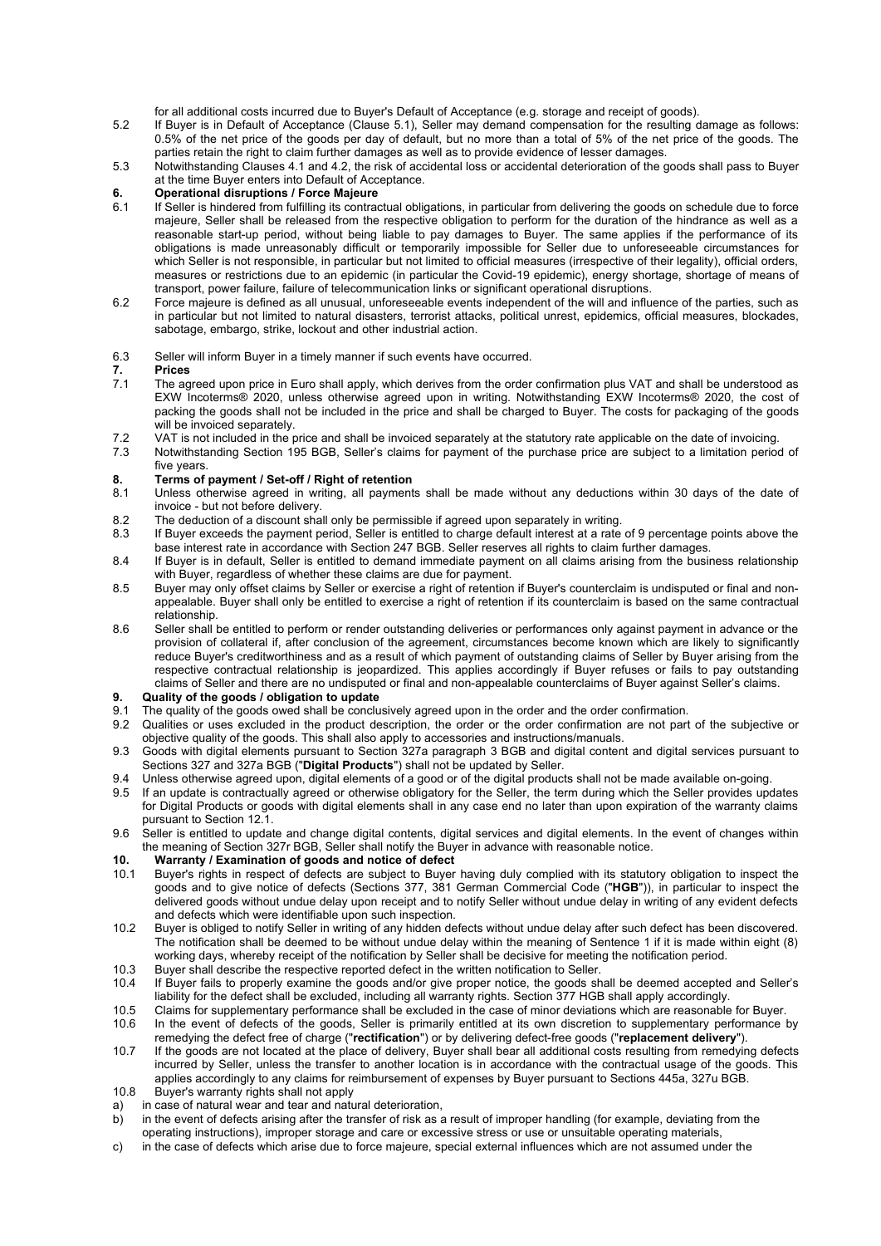for all additional costs incurred due to Buyer's Default of Acceptance (e.g. storage and receipt of goods).

- 5.2 If Buyer is in Default of Acceptance (Clause 5.1), Seller may demand compensation for the resulting damage as follows: 0.5% of the net price of the goods per day of default, but no more than a total of 5% of the net price of the goods. The parties retain the right to claim further damages as well as to provide evidence of lesser damages.
- 5.3 Notwithstanding Clauses 4.1 and 4.2, the risk of accidental loss or accidental deterioration of the goods shall pass to Buyer at the time Buyer enters into Default of Acceptance.

### **6. Operational disruptions / Force Majeure**

- If Seller is hindered from fulfilling its contractual obligations, in particular from delivering the goods on schedule due to force majeure, Seller shall be released from the respective obligation to perform for the duration of the hindrance as well as a reasonable start-up period, without being liable to pay damages to Buyer. The same applies if the performance of its obligations is made unreasonably difficult or temporarily impossible for Seller due to unforeseeable circumstances for which Seller is not responsible, in particular but not limited to official measures (irrespective of their legality), official orders, measures or restrictions due to an epidemic (in particular the Covid-19 epidemic), energy shortage, shortage of means of transport, power failure, failure of telecommunication links or significant operational disruptions.
- 6.2 Force majeure is defined as all unusual, unforeseeable events independent of the will and influence of the parties, such as in particular but not limited to natural disasters, terrorist attacks, political unrest, epidemics, official measures, blockades, sabotage, embargo, strike, lockout and other industrial action.
- 

#### **7. Prices**

- 6.3 Seller will inform Buyer in a timely manner if such events have occurred.<br> **7.1** The agreed upon price in Euro shall apply, which derives from the order The agreed upon price in Euro shall apply, which derives from the order confirmation plus VAT and shall be understood as EXW Incoterms® 2020, unless otherwise agreed upon in writing. Notwithstanding EXW Incoterms® 2020, the cost of packing the goods shall not be included in the price and shall be charged to Buyer. The costs for packaging of the goods will be invoiced separately.
- 
- 7.2 VAT is not included in the price and shall be invoiced separately at the statutory rate applicable on the date of invoicing. Notwithstanding Section 195 BGB, Seller's claims for payment of the purchase price are subject to a limitation period of five years.

#### **8. Terms of payment / Set-off / Right of retention**

- 8.1 Unless otherwise agreed in writing, all payments shall be made without any deductions within 30 days of the date of invoice - but not before delivery.
- 8.2 The deduction of a discount shall only be permissible if agreed upon separately in writing.
- 8.3 If Buyer exceeds the payment period, Seller is entitled to charge default interest at a rate of 9 percentage points above the base interest rate in accordance with Section 247 BGB. Seller reserves all rights to claim further damages.
- 8.4 If Buyer is in default, Seller is entitled to demand immediate payment on all claims arising from the business relationship with Buyer, regardless of whether these claims are due for payment.
- 8.5 Buyer may only offset claims by Seller or exercise a right of retention if Buyer's counterclaim is undisputed or final and nonappealable. Buyer shall only be entitled to exercise a right of retention if its counterclaim is based on the same contractual relationship.
- 8.6 Seller shall be entitled to perform or render outstanding deliveries or performances only against payment in advance or the provision of collateral if, after conclusion of the agreement, circumstances become known which are likely to significantly reduce Buyer's creditworthiness and as a result of which payment of outstanding claims of Seller by Buyer arising from the respective contractual relationship is jeopardized. This applies accordingly if Buyer refuses or fails to pay outstanding claims of Seller and there are no undisputed or final and non-appealable counterclaims of Buyer against Seller's claims.

#### **9. Quality of the goods / obligation to update**

- 9.1 The quality of the goods owed shall be conclusively agreed upon in the order and the order confirmation.
- 9.2 Qualities or uses excluded in the product description, the order or the order confirmation are not part of the subjective or objective quality of the goods. This shall also apply to accessories and instructions/manuals.
- 9.3 Goods with digital elements pursuant to Section 327a paragraph 3 BGB and digital content and digital services pursuant to Sections 327 and 327a BGB ("**Digital Products**") shall not be updated by Seller.
- 9.4 Unless otherwise agreed upon, digital elements of a good or of the digital products shall not be made available on-going.
- 9.5 If an update is contractually agreed or otherwise obligatory for the Seller, the term during which the Seller provides updates for Digital Products or goods with digital elements shall in any case end no later than upon expiration of the warranty claims pursuant to Section 12.1.
- 9.6 Seller is entitled to update and change digital contents, digital services and digital elements. In the event of changes within the meaning of Section 327r BGB, Seller shall notify the Buyer in advance with reasonable notice.

#### **10. Warranty / Examination of goods and notice of defect**

- 10.1 Buyer's rights in respect of defects are subject to Buyer having duly complied with its statutory obligation to inspect the goods and to give notice of defects (Sections 377, 381 German Commercial Code ("**HGB**")), in particular to inspect the delivered goods without undue delay upon receipt and to notify Seller without undue delay in writing of any evident defects and defects which were identifiable upon such inspection.
- 10.2 Buyer is obliged to notify Seller in writing of any hidden defects without undue delay after such defect has been discovered. The notification shall be deemed to be without undue delay within the meaning of Sentence 1 if it is made within eight (8) working days, whereby receipt of the notification by Seller shall be decisive for meeting the notification period.
- 10.3 Buyer shall describe the respective reported defect in the written notification to Seller.
- 10.4 If Buyer fails to properly examine the goods and/or give proper notice, the goods shall be deemed accepted and Seller's liability for the defect shall be excluded, including all warranty rights. Section 377 HGB shall apply accordingly.
- 10.5 Claims for supplementary performance shall be excluded in the case of minor deviations which are reasonable for Buyer. 10.6 In the event of defects of the goods, Seller is primarily entitled at its own discretion to supplementary performance by
- remedying the defect free of charge ("**rectification**") or by delivering defect-free goods ("**replacement delivery**"). 10.7 If the goods are not located at the place of delivery, Buyer shall bear all additional costs resulting from remedying defects incurred by Seller, unless the transfer to another location is in accordance with the contractual usage of the goods. This applies accordingly to any claims for reimbursement of expenses by Buyer pursuant to Sections 445a, 327u BGB.
- 10.8 Buyer's warranty rights shall not apply
- a) in case of natural wear and tear and natural deterioration,
- b) in the event of defects arising after the transfer of risk as a result of improper handling (for example, deviating from the operating instructions), improper storage and care or excessive stress or use or unsuitable operating materials,
- c) in the case of defects which arise due to force majeure, special external influences which are not assumed under the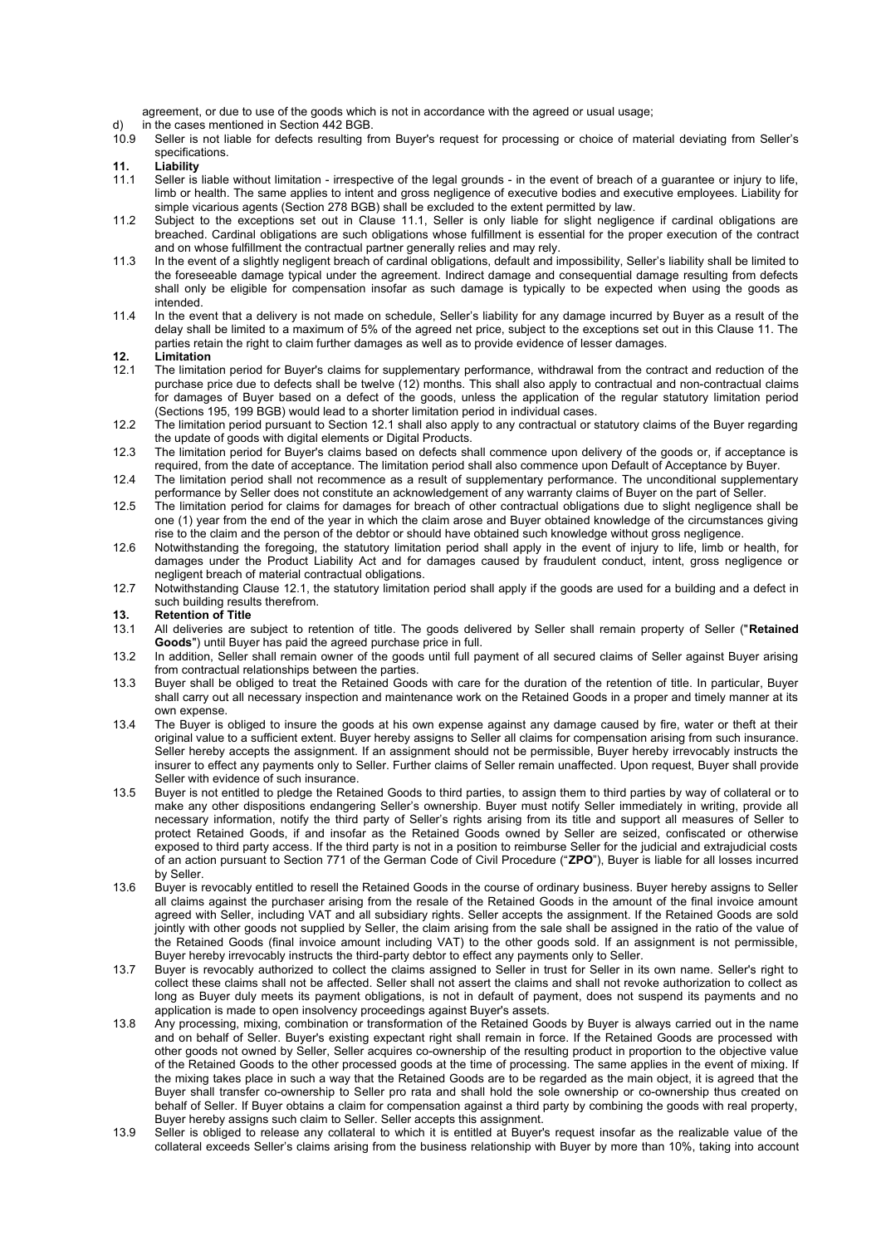agreement, or due to use of the goods which is not in accordance with the agreed or usual usage;

- d) in the cases mentioned in Section 442 BGB.<br>10.9 Seller is not liable for defects resulting from
- Seller is not liable for defects resulting from Buyer's request for processing or choice of material deviating from Seller's specifications.
- **11. Liability**
- Seller is liable without limitation irrespective of the legal grounds in the event of breach of a guarantee or injury to life, limb or health. The same applies to intent and gross negligence of executive bodies and executive employees. Liability for simple vicarious agents (Section 278 BGB) shall be excluded to the extent permitted by law.
- 11.2 Subject to the exceptions set out in Clause 11.1, Seller is only liable for slight negligence if cardinal obligations are breached. Cardinal obligations are such obligations whose fulfillment is essential for the proper execution of the contract and on whose fulfillment the contractual partner generally relies and may rely.
- 11.3 In the event of a slightly negligent breach of cardinal obligations, default and impossibility, Seller's liability shall be limited to the foreseeable damage typical under the agreement. Indirect damage and consequential damage resulting from defects shall only be eligible for compensation insofar as such damage is typically to be expected when using the goods as **intended**
- 11.4 In the event that a delivery is not made on schedule, Seller's liability for any damage incurred by Buyer as a result of the delay shall be limited to a maximum of 5% of the agreed net price, subject to the exceptions set out in this Clause 11. The parties retain the right to claim further damages as well as to provide evidence of lesser damages.

## **12. Limitation**

- The limitation period for Buyer's claims for supplementary performance, withdrawal from the contract and reduction of the purchase price due to defects shall be twelve (12) months. This shall also apply to contractual and non-contractual claims for damages of Buyer based on a defect of the goods, unless the application of the regular statutory limitation period (Sections 195, 199 BGB) would lead to a shorter limitation period in individual cases.
- 12.2 The limitation period pursuant to Section 12.1 shall also apply to any contractual or statutory claims of the Buyer regarding the update of goods with digital elements or Digital Products.
- 12.3 The limitation period for Buyer's claims based on defects shall commence upon delivery of the goods or, if acceptance is required, from the date of acceptance. The limitation period shall also commence upon Default of Acceptance by Buyer.
- 12.4 The limitation period shall not recommence as a result of supplementary performance. The unconditional supplementary performance by Seller does not constitute an acknowledgement of any warranty claims of Buyer on the part of Seller.
- 12.5 The limitation period for claims for damages for breach of other contractual obligations due to slight negligence shall be one (1) year from the end of the year in which the claim arose and Buyer obtained knowledge of the circumstances giving rise to the claim and the person of the debtor or should have obtained such knowledge without gross negligence.
- 12.6 Notwithstanding the foregoing, the statutory limitation period shall apply in the event of injury to life, limb or health, for damages under the Product Liability Act and for damages caused by fraudulent conduct, intent, gross negligence or negligent breach of material contractual obligations.
- 12.7 Notwithstanding Clause 12.1, the statutory limitation period shall apply if the goods are used for a building and a defect in such building results therefrom.

#### **13. Retention of Title**

- 13.1 All deliveries are subject to retention of title. The goods delivered by Seller shall remain property of Seller ("**Retained Goods**") until Buyer has paid the agreed purchase price in full.
- 13.2 In addition, Seller shall remain owner of the goods until full payment of all secured claims of Seller against Buyer arising from contractual relationships between the parties.
- 13.3 Buyer shall be obliged to treat the Retained Goods with care for the duration of the retention of title. In particular, Buyer shall carry out all necessary inspection and maintenance work on the Retained Goods in a proper and timely manner at its own expense.
- 13.4 The Buyer is obliged to insure the goods at his own expense against any damage caused by fire, water or theft at their original value to a sufficient extent. Buyer hereby assigns to Seller all claims for compensation arising from such insurance. Seller hereby accepts the assignment. If an assignment should not be permissible, Buyer hereby irrevocably instructs the insurer to effect any payments only to Seller. Further claims of Seller remain unaffected. Upon request, Buyer shall provide Seller with evidence of such insurance.
- 13.5 Buyer is not entitled to pledge the Retained Goods to third parties, to assign them to third parties by way of collateral or to make any other dispositions endangering Seller's ownership. Buyer must notify Seller immediately in writing, provide all necessary information, notify the third party of Seller's rights arising from its title and support all measures of Seller to protect Retained Goods, if and insofar as the Retained Goods owned by Seller are seized, confiscated or otherwise exposed to third party access. If the third party is not in a position to reimburse Seller for the judicial and extrajudicial costs of an action pursuant to Section 771 of the German Code of Civil Procedure ("**ZPO**"), Buyer is liable for all losses incurred by Seller.
- 13.6 Buyer is revocably entitled to resell the Retained Goods in the course of ordinary business. Buyer hereby assigns to Seller all claims against the purchaser arising from the resale of the Retained Goods in the amount of the final invoice amount agreed with Seller, including VAT and all subsidiary rights. Seller accepts the assignment. If the Retained Goods are sold jointly with other goods not supplied by Seller, the claim arising from the sale shall be assigned in the ratio of the value of the Retained Goods (final invoice amount including VAT) to the other goods sold. If an assignment is not permissible, Buyer hereby irrevocably instructs the third-party debtor to effect any payments only to Seller.
- 13.7 Buyer is revocably authorized to collect the claims assigned to Seller in trust for Seller in its own name. Seller's right to collect these claims shall not be affected. Seller shall not assert the claims and shall not revoke authorization to collect as long as Buyer duly meets its payment obligations, is not in default of payment, does not suspend its payments and no application is made to open insolvency proceedings against Buyer's assets.
- 13.8 Any processing, mixing, combination or transformation of the Retained Goods by Buyer is always carried out in the name and on behalf of Seller. Buyer's existing expectant right shall remain in force. If the Retained Goods are processed with other goods not owned by Seller, Seller acquires co-ownership of the resulting product in proportion to the objective value of the Retained Goods to the other processed goods at the time of processing. The same applies in the event of mixing. If the mixing takes place in such a way that the Retained Goods are to be regarded as the main object, it is agreed that the Buyer shall transfer co-ownership to Seller pro rata and shall hold the sole ownership or co-ownership thus created on behalf of Seller. If Buyer obtains a claim for compensation against a third party by combining the goods with real property, Buyer hereby assigns such claim to Seller. Seller accepts this assignment.
- 13.9 Seller is obliged to release any collateral to which it is entitled at Buyer's request insofar as the realizable value of the collateral exceeds Seller's claims arising from the business relationship with Buyer by more than 10%, taking into account